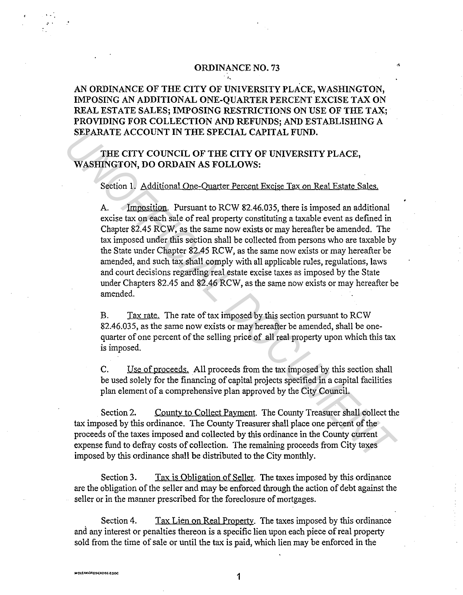## ORDINANCE NO. 73

## AN ORDINANCE OF THE CITY OF UNIVERSITY PLACE, WASHINGTON, IMPOSING AN ADDITIONAL ONE-QUARTER PERCENT EXCISE TAX ON REAL ESTATE SALES; IMPOSING RESTRICTIONS ON USE OF THE TAX; PROVIDING FOR COLLECTION AND REFUNDS; AND ESTABLISHING A SEPARATE ACCOUNT IN THE SPECIAL CAPITAL FUND.

'·

THE CITY COUNCIL OF THE CITY OF UNIVERSITY PLACE, WASHINGTON, DO ORDAIN AS FOLLOWS:

Section 1. Additional One-Quarter Percent Excise Tax on Real Estate Sales.

A. Imposition. Pursuant to RCW 82.46.035, there is imposed an additional excise tax on each sale of real property constituting a taxable event as defined in Chapter 82.45 RCW, as the same now exists or may hereafter be amended. The tax imposed under this section shall be collected from persons who are taxable by the State under Chapter 82.45 RCW, as the same now exists or may hereafter be amended, and such tax shall comply with all applicable rules, regulations, laws and court decisions regarding real estate excise taxes as imposed by the State under Chapters 82.45 and 82.46 RCW, as the same now exists or may hereafter be amended. **SEPARATE ACCOUNT IN THE SPECIAL CAPITAL FUND.**<br> **THE CITY COUNCIL OF THE CITY OF UNIVERSITY PLACE,**<br> **WASHINGTON, DO ORDAIN AS FOLLOWS:**<br>
Section 1. Additional One-Onarter Percent Excise Tax on Real Estate Sales.<br>
A. Impo

B. Tax rate. The rate of tax imposed by this section pursuant to RCW 82.46.035, as the same now exists or may hereafter be amended, shall be onequarter of one percent of the selling price of all real property upon which this tax is imposed.

C. Use of proceeds. All proceeds from the tax imposed by this section shall be used solely for the financing of capital projects specified in a capital facilities plan element of a comprehensive plan approved by the City Council.

Section 2. County to Collect Payment. The County Treasurer shall collect the tax imposed by this ordinance. The County Treasurer shall place one percent of the proceeds of the taxes imposed and collected by this ordinance in the County current expense fund to defray costs of collection. The remaining proceeds from City taxes imposed by this ordinance shall be distributed to the City monthly.

Section 3. Tax is Obligation of Seller. The taxes imposed by this ordinance are the obligation of the seller and may be enforced through the action of debt against the seller or in the manner prescribed for the foreclosure of mortgages.

Section 4. Tax Lien on Real Property. The taxes imposed by this ordinance and any interest or penalties thereon is a specific lien upon each piece of real property sold from the time of sale or until the tax is paid, which lien may be enforced in the

...

1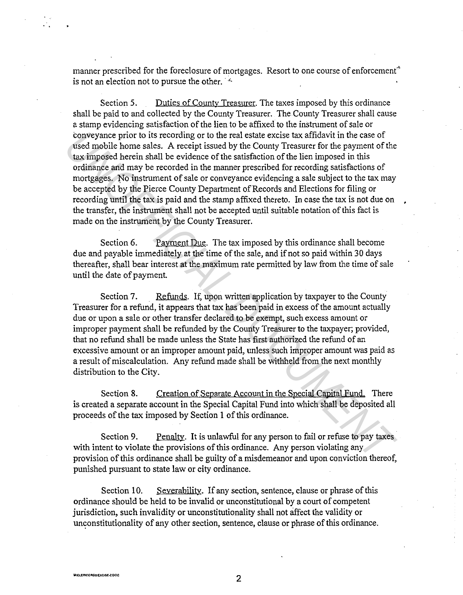manner prescribed for the foreclosure of mortgages. Resort to one course of enforcement<sup>\*</sup> is not an election not to pursue the other.  $\mathbb{I}^*$ 

Section 5. Duties of Countv Treasurer. The taxes imposed by this ordinance shall be paid to and collected by the County Treasurer. The County Treasurer shall cause a stamp evidencing satisfaction of the lien to be affixed to the instrument of sale or conveyance prior to its recording or to the real estate excise tax affidavit in the case of used mobile home sales. A receipt issued by the County Treasurer for the payment of the tax imposed herein shall be evidence of the satisfaction of the lien imposed in this ordinance and may be recorded in the manner prescribed for recording satisfactions of mortgages. No instrument of sale or conveyance evidencing a sale subject to the tax may be accepted by the Pierce County Department of Records and Elections for filing or recording until the tax is paid and the stamp affixed thereto. In case the tax is not due on the transfer, the instrument shall not be accepted until suitable notation of this fact is made on the instrument by the County Treasurer. is the conding or to the real estate excise tax affidavit in the case of<br>the sea mobile home sales. A receipt is<br>sued by the County Treasurer for the payment of the condinate<br>and may be recorded in the manner pressued by t

Section 6. Payment Due. The tax imposed by this ordinance shall become due and payable immediately at the time of the sale, and if not so paid within 30 days thereafter, shall bear interest at the maximum rate permitted by law from the time of sale until the date of payment.

Section 7. Refunds. If, upon written application by taxpayer to the County Treasurer for a refund, it appears that tax has been paid in excess of the amount actually due or upon a sale or other transfer declared to be exempt, such excess amount or improper payment shall be refunded by the County Treasurer to the taxpayer; provided, that no refund shall be made unless the State has first authorized the refund of an excessive amount or an improper amount paid, unless such improper amount was paid as a result of miscalculation. Any refund made shall be withheld from the next monthly distribution to the City.

Section 8. Creation of Separate Account in the Special Capital Fund. There is created a separate account in the Special Capital Fund into which shall be deposited all proceeds of the tax imposed by Section 1 of this ordinance.

Section 9. Penalty. It is unlawful for any person to fail or refuse to pay taxes with intent to violate the provisions of this ordinance. Any person violating any provision of this ordinance shall be guilty of a misdemeanor and upon conviction thereof, punished pursuant to state law or city ordinance.

Section 10. Severability. If any section, sentence, clause or phrase of this ordinance should be held to be invalid or unconstitutional by a court of competent jurisdiction, such invalidity or unconstitutionality shall not affect the validity or unconstitutionality of any other section, sentence, clause or phrase of this ordinance.